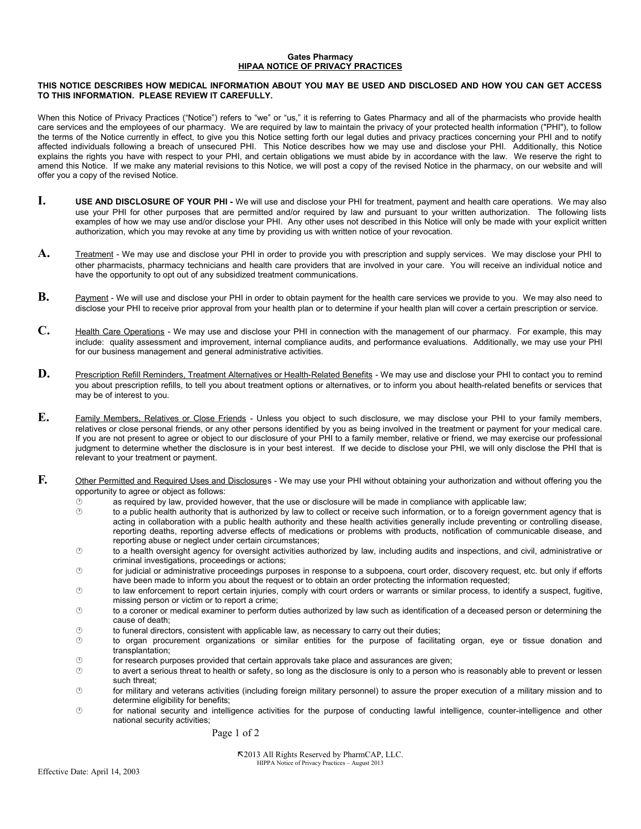## **Gates Pharmacy HIPAA NOTICE OF PRIVACY PRACTICES**

## **THIS NOTICE DESCRIBES HOW MEDICAL INFORMATION ABOUT YOU MAY BE USED AND DISCLOSED AND HOW YOU CAN GET ACCESS TO THIS INFORMATION. PLEASE REVIEW IT CAREFULLY.**

When this Notice of Privacy Practices ("Notice") refers to "we" or "us," it is referring to Gates Pharmacy and all of the pharmacists who provide health care services and the employees of our pharmacy. We are required by law to maintain the privacy of your protected health information ("PHI"), to follow the terms of the Notice currently in effect, to give you this Notice setting forth our legal duties and privacy practices concerning your PHI and to notify affected individuals following a breach of unsecured PHI. This Notice describes how we may use and disclose your PHI. Additionally, this Notice explains the rights you have with respect to your PHI, and certain obligations we must abide by in accordance with the law. We reserve the right to amend this Notice. If we make any material revisions to this Notice, we will post a copy of the revised Notice in the pharmacy, on our website and will offer you a copy of the revised Notice.

- **I.** USE AND DISCLOSURE OF YOUR PHI We will use and disclose your PHI for treatment, payment and health care operations. We may also use your PHI for other purposes that are permitted and/or required by law and pursuant to your written authorization. The following lists examples of how we may use and/or disclose your PHI. Any other uses not described in this Notice will only be made with your explicit written authorization, which you may revoke at any time by providing us with written notice of your revocation.
- **A.** Treatment We may use and disclose your PHI in order to provide you with prescription and supply services. We may disclose your PHI to other pharmacists, pharmacy technicians and health care providers that are involved in your care. You will receive an individual notice and have the opportunity to opt out of any subsidized treatment communications.
- **B.** Payment We will use and disclose your PHI in order to obtain payment for the health care services we provide to you. We may also need to disclose your PHI to receive prior approval from your health plan or to determine if your health plan will cover a certain prescription or service.
- **C.** Health Care Operations We may use and disclose your PHI in connection with the management of our pharmacy. For example, this may include: quality assessment and improvement, internal compliance audits, and performance evaluations. Additionally, we may use your PHI for our business management and general administrative activities.
- **D.** Prescription Refill Reminders, Treatment Alternatives or Health-Related Benefits We may use and disclose your PHI to contact you to remind you about prescription refills, to tell you about treatment options or alternatives, or to inform you about health-related benefits or services that may be of interest to you.
- **E.** Family Members, Relatives or Close Friends Unless you object to such disclosure, we may disclose your PHI to your family members, relatives or close personal friends, or any other persons identified by you as being involved in the treatment or payment for your medical care. If you are not present to agree or object to our disclosure of your PHI to a family member, relative or friend, we may exercise our professional judgment to determine whether the disclosure is in your best interest. If we decide to disclose your PHI, we will only disclose the PHI that is relevant to your treatment or payment.
- **F.** Other Permitted and Required Uses and Disclosures We may use your PHI without obtaining your authorization and without offering you the opportunity to agree or object as follows:
	- $\circledcirc$  as required by law, provided however, that the use or disclosure will be made in compliance with applicable law;
	- $\circ$  to a public health authority that is authorized by law to collect or receive such information, or to a foreign government agency that is acting in collaboration with a public health authority and these health activities generally include preventing or controlling disease, reporting deaths, reporting adverse effects of medications or problems with products, notification of communicable disease, and reporting abuse or neglect under certain circumstances;
	- to a health oversight agency for oversight activities authorized by law, including audits and inspections, and civil, administrative or criminal investigations, proceedings or actions;
	- for judicial or administrative proceedings purposes in response to a subpoena, court order, discovery request, etc. but only if efforts have been made to inform you about the request or to obtain an order protecting the information requested;
	- to law enforcement to report certain injuries, comply with court orders or warrants or similar process, to identify a suspect, fugitive, missing person or victim or to report a crime;
	- to a coroner or medical examiner to perform duties authorized by law such as identification of a deceased person or determining the cause of death;
	- $\circled{2}$  to funeral directors, consistent with applicable law, as necessary to carry out their duties;
	- to organ procurement organizations or similar entities for the purpose of facilitating organ, eye or tissue donation and transplantation;
	- $\circled{6}$  for research purposes provided that certain approvals take place and assurances are given;
	- to avert a serious threat to health or safety, so long as the disclosure is only to a person who is reasonably able to prevent or lessen such threat:
	- for military and veterans activities (including foreign military personnel) to assure the proper execution of a military mission and to determine eligibility for benefits;
	- for national security and intelligence activities for the purpose of conducting lawful intelligence, counter-intelligence and other national security activities;

Page 1 of 2